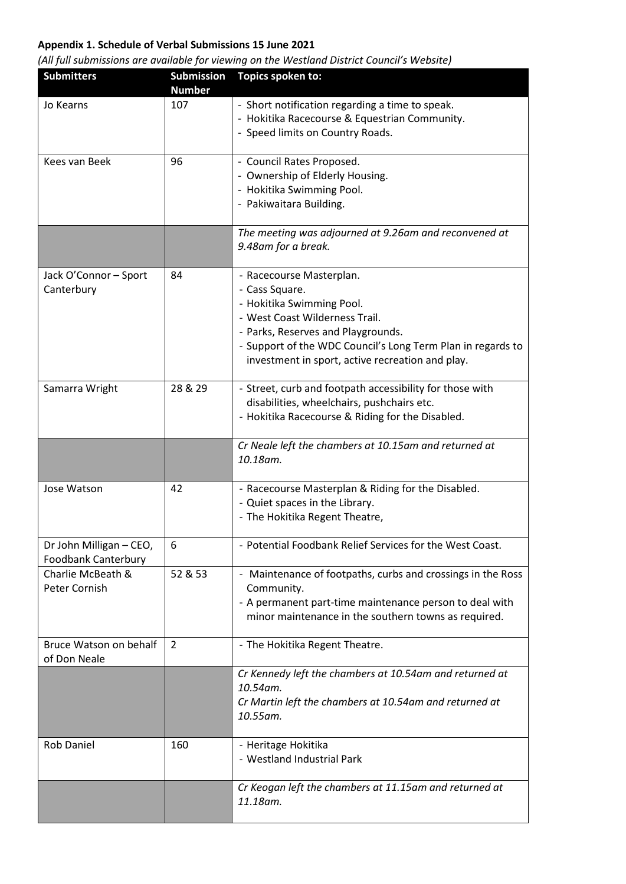## **Appendix 1. Schedule of Verbal Submissions 15 June 2021**

| <b>Submitters</b>                                     | <b>Submission</b><br><b>Number</b> | <b>Topics spoken to:</b>                                                                                                                                                                                                                                           |
|-------------------------------------------------------|------------------------------------|--------------------------------------------------------------------------------------------------------------------------------------------------------------------------------------------------------------------------------------------------------------------|
| Jo Kearns                                             | 107                                | - Short notification regarding a time to speak.<br>- Hokitika Racecourse & Equestrian Community.<br>- Speed limits on Country Roads.                                                                                                                               |
| Kees van Beek                                         | 96                                 | - Council Rates Proposed.<br>- Ownership of Elderly Housing.<br>- Hokitika Swimming Pool.<br>- Pakiwaitara Building.                                                                                                                                               |
|                                                       |                                    | The meeting was adjourned at 9.26am and reconvened at<br>9.48am for a break.                                                                                                                                                                                       |
| Jack O'Connor - Sport<br>Canterbury                   | 84                                 | - Racecourse Masterplan.<br>- Cass Square.<br>- Hokitika Swimming Pool.<br>- West Coast Wilderness Trail.<br>- Parks, Reserves and Playgrounds.<br>- Support of the WDC Council's Long Term Plan in regards to<br>investment in sport, active recreation and play. |
| Samarra Wright                                        | 28 & 29                            | - Street, curb and footpath accessibility for those with<br>disabilities, wheelchairs, pushchairs etc.<br>- Hokitika Racecourse & Riding for the Disabled.                                                                                                         |
|                                                       |                                    | Cr Neale left the chambers at 10.15am and returned at<br>10.18am.                                                                                                                                                                                                  |
| Jose Watson                                           | 42                                 | - Racecourse Masterplan & Riding for the Disabled.<br>- Quiet spaces in the Library.<br>- The Hokitika Regent Theatre,                                                                                                                                             |
| Dr John Milligan - CEO,<br><b>Foodbank Canterbury</b> | 6                                  | - Potential Foodbank Relief Services for the West Coast.                                                                                                                                                                                                           |
| Charlie McBeath &<br>Peter Cornish                    | 52 & 53                            | - Maintenance of footpaths, curbs and crossings in the Ross<br>Community.<br>- A permanent part-time maintenance person to deal with<br>minor maintenance in the southern towns as required.                                                                       |
| Bruce Watson on behalf<br>of Don Neale                | $\overline{2}$                     | - The Hokitika Regent Theatre.                                                                                                                                                                                                                                     |
|                                                       |                                    | Cr Kennedy left the chambers at 10.54am and returned at<br>10.54am.<br>Cr Martin left the chambers at 10.54am and returned at<br>10.55am.                                                                                                                          |
| <b>Rob Daniel</b>                                     | 160                                | - Heritage Hokitika<br>- Westland Industrial Park                                                                                                                                                                                                                  |
|                                                       |                                    | Cr Keogan left the chambers at 11.15am and returned at<br>11.18am.                                                                                                                                                                                                 |

*(All full submissions are available for viewing on the Westland District Council's Website)*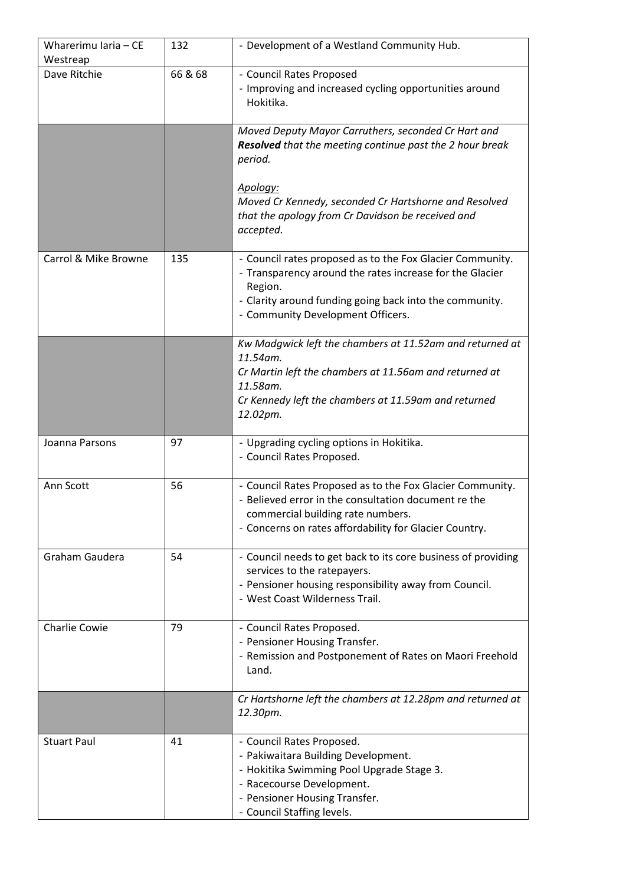| Wharerimu Iaria - CE<br>Westreap | 132     | - Development of a Westland Community Hub.                                                                                                                                                                                                                               |
|----------------------------------|---------|--------------------------------------------------------------------------------------------------------------------------------------------------------------------------------------------------------------------------------------------------------------------------|
| Dave Ritchie                     | 66 & 68 | - Council Rates Proposed<br>- Improving and increased cycling opportunities around<br>Hokitika.                                                                                                                                                                          |
|                                  |         | Moved Deputy Mayor Carruthers, seconded Cr Hart and<br><b>Resolved</b> that the meeting continue past the 2 hour break<br>period.<br>Apology:<br>Moved Cr Kennedy, seconded Cr Hartshorne and Resolved<br>that the apology from Cr Davidson be received and<br>accepted. |
| Carrol & Mike Browne             | 135     | - Council rates proposed as to the Fox Glacier Community.<br>- Transparency around the rates increase for the Glacier<br>Region.<br>- Clarity around funding going back into the community.<br>- Community Development Officers.                                         |
|                                  |         | Kw Madgwick left the chambers at 11.52am and returned at<br>11.54am.<br>Cr Martin left the chambers at 11.56am and returned at<br>11.58am.<br>Cr Kennedy left the chambers at 11.59am and returned<br>12.02pm.                                                           |
| Joanna Parsons                   | 97      | - Upgrading cycling options in Hokitika.<br>- Council Rates Proposed.                                                                                                                                                                                                    |
| Ann Scott                        | 56      | - Council Rates Proposed as to the Fox Glacier Community.<br>- Believed error in the consultation document re the<br>commercial building rate numbers.<br>- Concerns on rates affordability for Glacier Country.                                                         |
| Graham Gaudera                   | 54      | - Council needs to get back to its core business of providing<br>services to the ratepayers.<br>- Pensioner housing responsibility away from Council.<br>- West Coast Wilderness Trail.                                                                                  |
| <b>Charlie Cowie</b>             | 79      | - Council Rates Proposed.<br>- Pensioner Housing Transfer.<br>- Remission and Postponement of Rates on Maori Freehold<br>Land.                                                                                                                                           |
|                                  |         | Cr Hartshorne left the chambers at 12.28pm and returned at<br>12.30pm.                                                                                                                                                                                                   |
| <b>Stuart Paul</b>               | 41      | - Council Rates Proposed.<br>- Pakiwaitara Building Development.<br>- Hokitika Swimming Pool Upgrade Stage 3.<br>- Racecourse Development.<br>- Pensioner Housing Transfer.<br>- Council Staffing levels.                                                                |